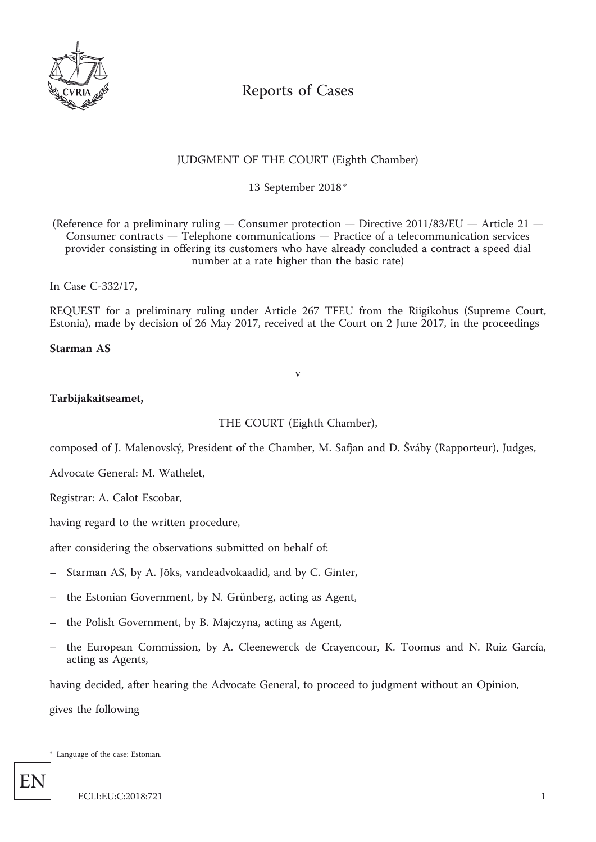

# Reports of Cases

## JUDGMENT OF THE COURT (Eighth Chamber)

13 September 2018 \*

(Reference for a preliminary ruling — Consumer protection — Directive 2011/83/EU — Article 21 — Consumer contracts — Telephone communications — Practice of a telecommunication services provider consisting in offering its customers who have already concluded a contract a speed dial number at a rate higher than the basic rate)

In Case C-332/17,

REQUEST for a preliminary ruling under Article 267 TFEU from the Riigikohus (Supreme Court, Estonia), made by decision of 26 May 2017, received at the Court on 2 June 2017, in the proceedings

**Starman AS**

#### v

#### **Tarbijakaitseamet,**

THE COURT (Eighth Chamber),

composed of J. Malenovský, President of the Chamber, M. Safjan and D. Šváby (Rapporteur), Judges,

Advocate General: M. Wathelet,

Registrar: A. Calot Escobar,

having regard to the written procedure,

after considering the observations submitted on behalf of:

- Starman AS, by A. Jõks, vandeadvokaadid, and by C. Ginter,
- the Estonian Government, by N. Grünberg, acting as Agent,
- the Polish Government, by B. Majczyna, acting as Agent,
- the European Commission, by A. Cleenewerck de Crayencour, K. Toomus and N. Ruiz García, acting as Agents,

having decided, after hearing the Advocate General, to proceed to judgment without an Opinion,

gives the following

\* Language of the case: Estonian.

EN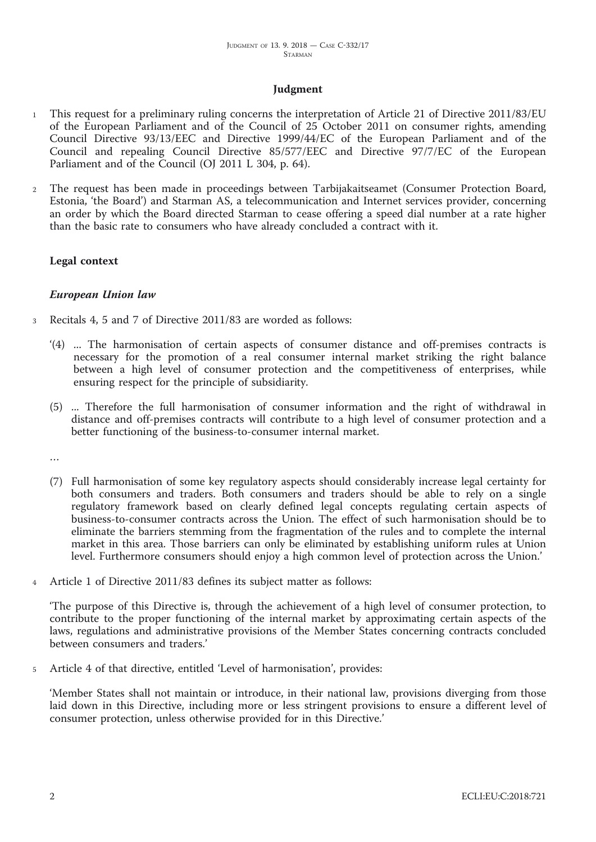## **Judgment**

- <sup>1</sup> This request for a preliminary ruling concerns the interpretation of Article 21 of Directive 2011/83/EU of the European Parliament and of the Council of 25 October 2011 on consumer rights, amending Council Directive 93/13/EEC and Directive 1999/44/EC of the European Parliament and of the Council and repealing Council Directive 85/577/EEC and Directive 97/7/EC of the European Parliament and of the Council (OJ 2011 L 304, p. 64).
- <sup>2</sup> The request has been made in proceedings between Tarbijakaitseamet (Consumer Protection Board, Estonia, 'the Board') and Starman AS, a telecommunication and Internet services provider, concerning an order by which the Board directed Starman to cease offering a speed dial number at a rate higher than the basic rate to consumers who have already concluded a contract with it.

#### **Legal context**

#### *European Union law*

- <sup>3</sup> Recitals 4, 5 and 7 of Directive 2011/83 are worded as follows:
	- '(4) ... The harmonisation of certain aspects of consumer distance and off-premises contracts is necessary for the promotion of a real consumer internal market striking the right balance between a high level of consumer protection and the competitiveness of enterprises, while ensuring respect for the principle of subsidiarity.
	- (5) ... Therefore the full harmonisation of consumer information and the right of withdrawal in distance and off-premises contracts will contribute to a high level of consumer protection and a better functioning of the business-to-consumer internal market.

…

- (7) Full harmonisation of some key regulatory aspects should considerably increase legal certainty for both consumers and traders. Both consumers and traders should be able to rely on a single regulatory framework based on clearly defined legal concepts regulating certain aspects of business-to-consumer contracts across the Union. The effect of such harmonisation should be to eliminate the barriers stemming from the fragmentation of the rules and to complete the internal market in this area. Those barriers can only be eliminated by establishing uniform rules at Union level. Furthermore consumers should enjoy a high common level of protection across the Union.'
- Article 1 of Directive 2011/83 defines its subject matter as follows:

'The purpose of this Directive is, through the achievement of a high level of consumer protection, to contribute to the proper functioning of the internal market by approximating certain aspects of the laws, regulations and administrative provisions of the Member States concerning contracts concluded between consumers and traders.'

<sup>5</sup> Article 4 of that directive, entitled 'Level of harmonisation', provides:

'Member States shall not maintain or introduce, in their national law, provisions diverging from those laid down in this Directive, including more or less stringent provisions to ensure a different level of consumer protection, unless otherwise provided for in this Directive.'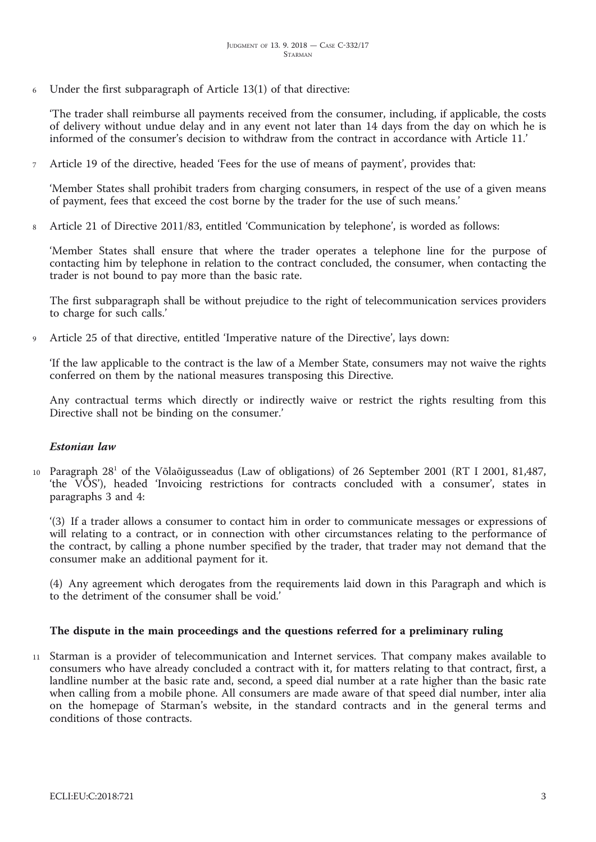<sup>6</sup> Under the first subparagraph of Article 13(1) of that directive:

'The trader shall reimburse all payments received from the consumer, including, if applicable, the costs of delivery without undue delay and in any event not later than 14 days from the day on which he is informed of the consumer's decision to withdraw from the contract in accordance with Article 11.'

<sup>7</sup> Article 19 of the directive, headed 'Fees for the use of means of payment', provides that:

'Member States shall prohibit traders from charging consumers, in respect of the use of a given means of payment, fees that exceed the cost borne by the trader for the use of such means.'

<sup>8</sup> Article 21 of Directive 2011/83, entitled 'Communication by telephone', is worded as follows:

'Member States shall ensure that where the trader operates a telephone line for the purpose of contacting him by telephone in relation to the contract concluded, the consumer, when contacting the trader is not bound to pay more than the basic rate.

The first subparagraph shall be without prejudice to the right of telecommunication services providers to charge for such calls.'

<sup>9</sup> Article 25 of that directive, entitled 'Imperative nature of the Directive', lays down:

'If the law applicable to the contract is the law of a Member State, consumers may not waive the rights conferred on them by the national measures transposing this Directive.

Any contractual terms which directly or indirectly waive or restrict the rights resulting from this Directive shall not be binding on the consumer.'

## *Estonian law*

10 Paragraph 28<sup>1</sup> of the Võlaõigusseadus (Law of obligations) of 26 September 2001 (RT I 2001, 81,487, 'the VÕS'), headed 'Invoicing restrictions for contracts concluded with a consumer', states in paragraphs 3 and 4:

'(3) If a trader allows a consumer to contact him in order to communicate messages or expressions of will relating to a contract, or in connection with other circumstances relating to the performance of the contract, by calling a phone number specified by the trader, that trader may not demand that the consumer make an additional payment for it.

(4) Any agreement which derogates from the requirements laid down in this Paragraph and which is to the detriment of the consumer shall be void.'

#### **The dispute in the main proceedings and the questions referred for a preliminary ruling**

<sup>11</sup> Starman is a provider of telecommunication and Internet services. That company makes available to consumers who have already concluded a contract with it, for matters relating to that contract, first, a landline number at the basic rate and, second, a speed dial number at a rate higher than the basic rate when calling from a mobile phone. All consumers are made aware of that speed dial number, inter alia on the homepage of Starman's website, in the standard contracts and in the general terms and conditions of those contracts.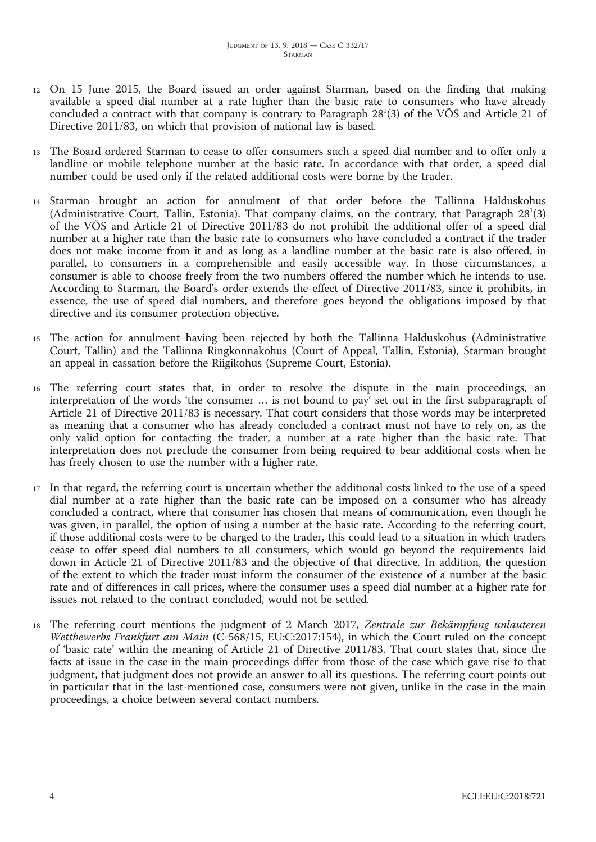- <sup>12</sup> On 15 June 2015, the Board issued an order against Starman, based on the finding that making available a speed dial number at a rate higher than the basic rate to consumers who have already concluded a contract with that company is contrary to Paragraph  $28<sup>1</sup>(3)$  of the VÕS and Article 21 of Directive 2011/83, on which that provision of national law is based.
- <sup>13</sup> The Board ordered Starman to cease to offer consumers such a speed dial number and to offer only a landline or mobile telephone number at the basic rate. In accordance with that order, a speed dial number could be used only if the related additional costs were borne by the trader.
- <sup>14</sup> Starman brought an action for annulment of that order before the Tallinna Halduskohus (Administrative Court, Tallin, Estonia). That company claims, on the contrary, that Paragraph  $28^1(3)$ of the VÕS and Article 21 of Directive 2011/83 do not prohibit the additional offer of a speed dial number at a higher rate than the basic rate to consumers who have concluded a contract if the trader does not make income from it and as long as a landline number at the basic rate is also offered, in parallel, to consumers in a comprehensible and easily accessible way. In those circumstances, a consumer is able to choose freely from the two numbers offered the number which he intends to use. According to Starman, the Board's order extends the effect of Directive 2011/83, since it prohibits, in essence, the use of speed dial numbers, and therefore goes beyond the obligations imposed by that directive and its consumer protection objective.
- <sup>15</sup> The action for annulment having been rejected by both the Tallinna Halduskohus (Administrative Court, Tallin) and the Tallinna Ringkonnakohus (Court of Appeal, Tallin, Estonia), Starman brought an appeal in cassation before the Riigikohus (Supreme Court, Estonia).
- <sup>16</sup> The referring court states that, in order to resolve the dispute in the main proceedings, an interpretation of the words 'the consumer … is not bound to pay' set out in the first subparagraph of Article 21 of Directive 2011/83 is necessary. That court considers that those words may be interpreted as meaning that a consumer who has already concluded a contract must not have to rely on, as the only valid option for contacting the trader, a number at a rate higher than the basic rate. That interpretation does not preclude the consumer from being required to bear additional costs when he has freely chosen to use the number with a higher rate.
- <sup>17</sup> In that regard, the referring court is uncertain whether the additional costs linked to the use of a speed dial number at a rate higher than the basic rate can be imposed on a consumer who has already concluded a contract, where that consumer has chosen that means of communication, even though he was given, in parallel, the option of using a number at the basic rate. According to the referring court, if those additional costs were to be charged to the trader, this could lead to a situation in which traders cease to offer speed dial numbers to all consumers, which would go beyond the requirements laid down in Article 21 of Directive 2011/83 and the objective of that directive. In addition, the question of the extent to which the trader must inform the consumer of the existence of a number at the basic rate and of differences in call prices, where the consumer uses a speed dial number at a higher rate for issues not related to the contract concluded, would not be settled.
- <sup>18</sup> The referring court mentions the judgment of <sup>2</sup> March 2017, *Zentrale zur Bekämpfung unlauteren Wettbewerbs Frankfurt am Main* (C-568/15, EU:C:2017:154), in which the Court ruled on the concept of 'basic rate' within the meaning of Article 21 of Directive 2011/83. That court states that, since the facts at issue in the case in the main proceedings differ from those of the case which gave rise to that judgment, that judgment does not provide an answer to all its questions. The referring court points out in particular that in the last-mentioned case, consumers were not given, unlike in the case in the main proceedings, a choice between several contact numbers.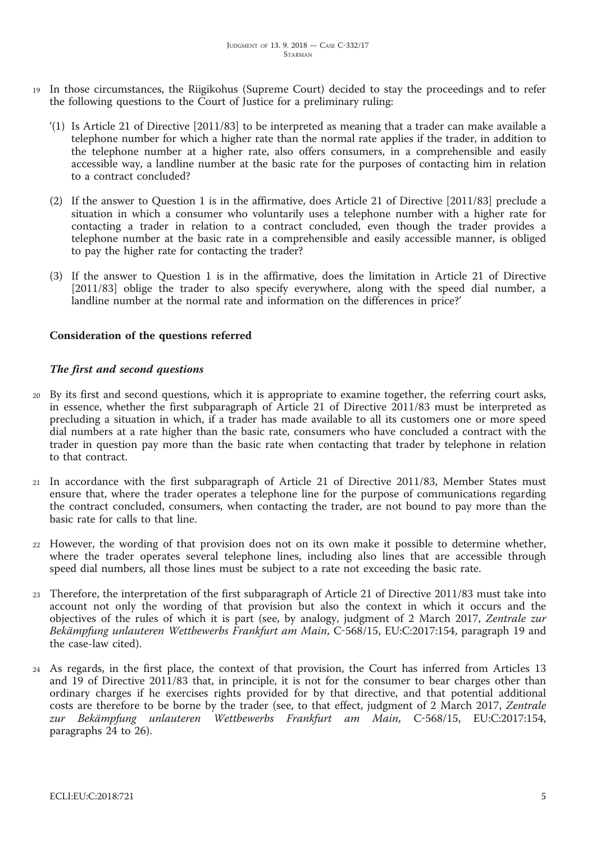- <sup>19</sup> In those circumstances, the Riigikohus (Supreme Court) decided to stay the proceedings and to refer the following questions to the Court of Justice for a preliminary ruling:
	- '(1) Is Article 21 of Directive [2011/83] to be interpreted as meaning that a trader can make available a telephone number for which a higher rate than the normal rate applies if the trader, in addition to the telephone number at a higher rate, also offers consumers, in a comprehensible and easily accessible way, a landline number at the basic rate for the purposes of contacting him in relation to a contract concluded?
	- (2) If the answer to Question 1 is in the affirmative, does Article 21 of Directive [2011/83] preclude a situation in which a consumer who voluntarily uses a telephone number with a higher rate for contacting a trader in relation to a contract concluded, even though the trader provides a telephone number at the basic rate in a comprehensible and easily accessible manner, is obliged to pay the higher rate for contacting the trader?
	- (3) If the answer to Question 1 is in the affirmative, does the limitation in Article 21 of Directive [2011/83] oblige the trader to also specify everywhere, along with the speed dial number, a landline number at the normal rate and information on the differences in price?'

## **Consideration of the questions referred**

## *The first and second questions*

- <sup>20</sup> By its first and second questions, which it is appropriate to examine together, the referring court asks, in essence, whether the first subparagraph of Article 21 of Directive 2011/83 must be interpreted as precluding a situation in which, if a trader has made available to all its customers one or more speed dial numbers at a rate higher than the basic rate, consumers who have concluded a contract with the trader in question pay more than the basic rate when contacting that trader by telephone in relation to that contract.
- <sup>21</sup> In accordance with the first subparagraph of Article 21 of Directive 2011/83, Member States must ensure that, where the trader operates a telephone line for the purpose of communications regarding the contract concluded, consumers, when contacting the trader, are not bound to pay more than the basic rate for calls to that line.
- <sup>22</sup> However, the wording of that provision does not on its own make it possible to determine whether, where the trader operates several telephone lines, including also lines that are accessible through speed dial numbers, all those lines must be subject to a rate not exceeding the basic rate.
- <sup>23</sup> Therefore, the interpretation of the first subparagraph of Article 21 of Directive 2011/83 must take into account not only the wording of that provision but also the context in which it occurs and the objectives of the rules of which it is part (see, by analogy, judgment of <sup>2</sup> March 2017, *Zentrale zur Bekämpfung unlauteren Wettbewerbs Frankfurt am Main*, C-568/15, EU:C:2017:154, paragraph <sup>19</sup> and the case-law cited).
- <sup>24</sup> As regards, in the first place, the context of that provision, the Court has inferred from Articles 13 and 19 of Directive 2011/83 that, in principle, it is not for the consumer to bear charges other than ordinary charges if he exercises rights provided for by that directive, and that potential additional costs are therefore to be borne by the trader (see, to that effect, judgment of <sup>2</sup> March 2017, *Zentrale zur Bekämpfung unlauteren Wettbewerbs Frankfurt am Main*, C-568/15, EU:C:2017:154, paragraphs 24 to 26).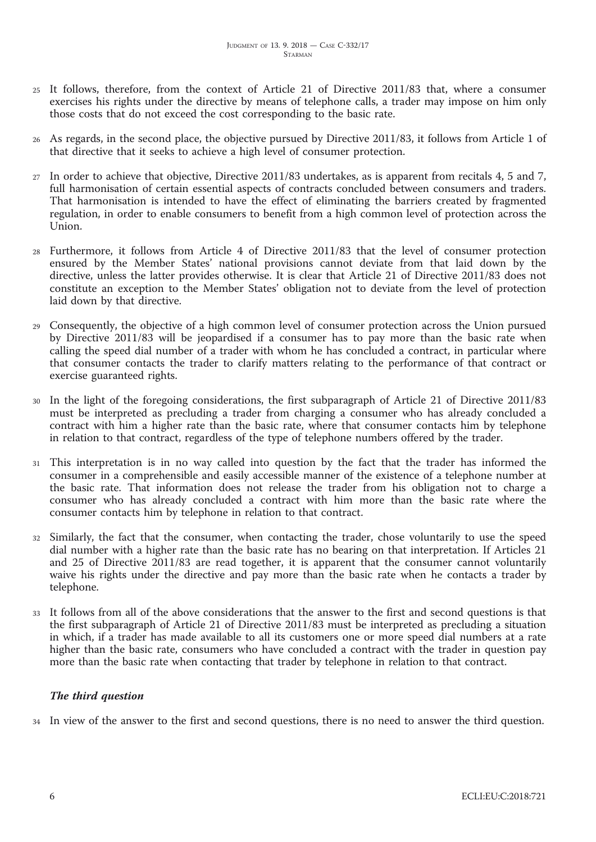- <sup>25</sup> It follows, therefore, from the context of Article 21 of Directive 2011/83 that, where a consumer exercises his rights under the directive by means of telephone calls, a trader may impose on him only those costs that do not exceed the cost corresponding to the basic rate.
- <sup>26</sup> As regards, in the second place, the objective pursued by Directive 2011/83, it follows from Article 1 of that directive that it seeks to achieve a high level of consumer protection.
- <sup>27</sup> In order to achieve that objective, Directive 2011/83 undertakes, as is apparent from recitals 4, 5 and 7, full harmonisation of certain essential aspects of contracts concluded between consumers and traders. That harmonisation is intended to have the effect of eliminating the barriers created by fragmented regulation, in order to enable consumers to benefit from a high common level of protection across the Union.
- <sup>28</sup> Furthermore, it follows from Article 4 of Directive 2011/83 that the level of consumer protection ensured by the Member States' national provisions cannot deviate from that laid down by the directive, unless the latter provides otherwise. It is clear that Article 21 of Directive 2011/83 does not constitute an exception to the Member States' obligation not to deviate from the level of protection laid down by that directive.
- <sup>29</sup> Consequently, the objective of a high common level of consumer protection across the Union pursued by Directive 2011/83 will be jeopardised if a consumer has to pay more than the basic rate when calling the speed dial number of a trader with whom he has concluded a contract, in particular where that consumer contacts the trader to clarify matters relating to the performance of that contract or exercise guaranteed rights.
- In the light of the foregoing considerations, the first subparagraph of Article 21 of Directive 2011/83 must be interpreted as precluding a trader from charging a consumer who has already concluded a contract with him a higher rate than the basic rate, where that consumer contacts him by telephone in relation to that contract, regardless of the type of telephone numbers offered by the trader.
- <sup>31</sup> This interpretation is in no way called into question by the fact that the trader has informed the consumer in a comprehensible and easily accessible manner of the existence of a telephone number at the basic rate. That information does not release the trader from his obligation not to charge a consumer who has already concluded a contract with him more than the basic rate where the consumer contacts him by telephone in relation to that contract.
- <sup>32</sup> Similarly, the fact that the consumer, when contacting the trader, chose voluntarily to use the speed dial number with a higher rate than the basic rate has no bearing on that interpretation. If Articles 21 and 25 of Directive 2011/83 are read together, it is apparent that the consumer cannot voluntarily waive his rights under the directive and pay more than the basic rate when he contacts a trader by telephone.
- <sup>33</sup> It follows from all of the above considerations that the answer to the first and second questions is that the first subparagraph of Article 21 of Directive 2011/83 must be interpreted as precluding a situation in which, if a trader has made available to all its customers one or more speed dial numbers at a rate higher than the basic rate, consumers who have concluded a contract with the trader in question pay more than the basic rate when contacting that trader by telephone in relation to that contract.

## *The third question*

<sup>34</sup> In view of the answer to the first and second questions, there is no need to answer the third question.